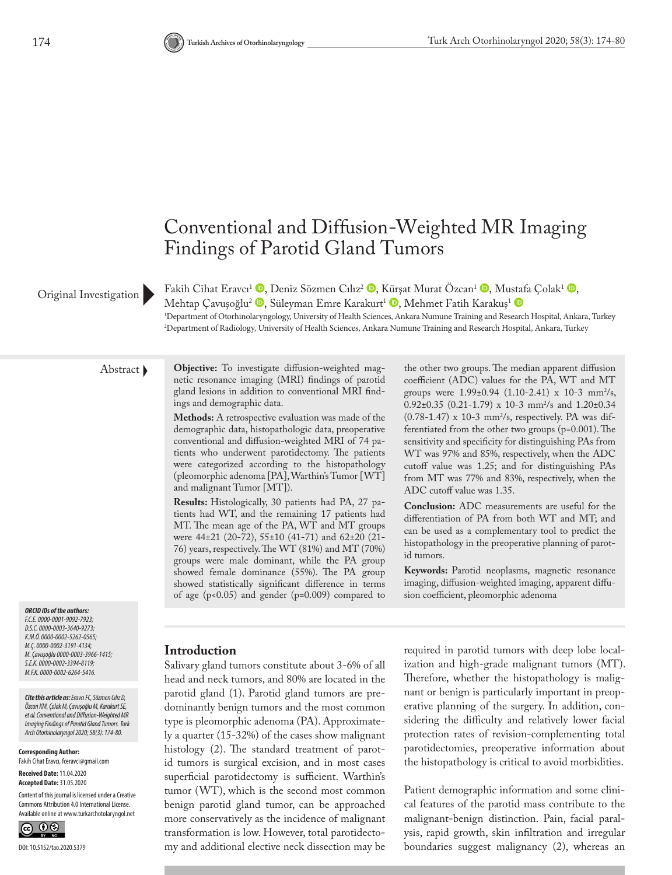# Conventional and Diffusion-Weighted MR Imaging Findings of Parotid Gland Tumors

### Original Investigation

Fakih Cihat Eravcı<sup>1</sup> **.** Deniz Sözmen Cılız<sup>2</sup> **.** [Kürş](http://orcid.org/0000-0002-3394-8119)at Murat Özcan<sup>1</sup> . Mu[staf](http://orcid.org/0000-0002-6264-5416)a Çolak<sup>1</sup> . Mehtap Çavuşoğlu<sup>2</sup> <sup>(D</sup>[,](http://orcid.org/0000-0003-3966-1415) Süleyman Emre Karakurt<sup>1</sup> <sup>(D</sup>, Mehmet Fatih Karakuş<sup>1</sup> (D 1 Department of Otorhinolaryngology, University of Health Sciences, Ankara Numune Training and Research Hospital, Ankara, Turkey 2 Department of Radiology, University of Health Sciences, Ankara Numune Training and Research Hospital, Ankara, Turkey

*ORCID iDs of the authors: F.C.E. 0000-0001-9092-7923; D.S.C. 0000-0003-3640-9273;* 

*K.M.Ö. 0000-0002-5262-0565; M.Ç. 0000-0002-3191-4134; M. Çavuşoğlu 0000-0003-3966-1415; S.E.K. 0000-0002-3394-8119; M.F.K. 0000-0002-6264-5416.*

*Cite this article as: Eravcı FC, Sözmen Cılız D, Özcan KM, Çolak M, Çavuşoğlu M, Karakurt SE, et al. Conventional and Diffusion-Weighted MR Imaging Findings of Parotid Gland Tumors. Turk Arch Otorhinolaryngol 2020; 58(3): 174-80.*

**Corresponding Author:**  Fakih Cihat Eravcı, fceravci@gmail.com

## **Received Date:** 11.04.2020

**Accepted Date:** 31.05.2020 Content of this journal is licensed under a Creative Commons Attribution 4.0 International License. Available online at www.turkarchotolaryngol.net



Abstract **Objective:** To investigate diffusion-weighted magnetic resonance imaging (MRI) findings of parotid gland lesions in addition to conventional MRI findings and demographic data.

> **Methods:** A retrospective evaluation was made of the demographic data, histopathologic data, preoperative conventional and diffusion-weighted MRI of 74 patients who underwent parotidectomy. The patients were categorized according to the histopathology (pleomorphic adenoma [PA], Warthin's Tumor [WT] and malignant Tumor [MT]).

> **Results:** Histologically, 30 patients had PA, 27 patients had WT, and the remaining 17 patients had MT. The mean age of the PA, WT and MT groups were 44±21 (20-72), 55±10 (41-71) and 62±20 (21- 76) years, respectively. The WT (81%) and MT (70%) groups were male dominant, while the PA group showed female dominance (55%). The PA group showed statistically significant difference in terms of age (p<0.05) and gender (p=0.009) compared to

the other two groups. The median apparent diffusion coefficient (ADC) values for the PA, WT and MT groups were  $1.99\pm0.94$  (1.10-2.41) x 10-3 mm<sup>2</sup>/s,  $0.92\pm0.35$  (0.21-1.79) x 10-3 mm<sup>2</sup>/s and 1.20 $\pm0.34$  $(0.78-1.47)$  x 10-3 mm<sup>2</sup>/s, respectively. PA was differentiated from the other two groups (p=0.001). The sensitivity and specificity for distinguishing PAs from WT was 97% and 85%, respectively, when the ADC cutoff value was 1.25; and for distinguishing PAs from MT was 77% and 83%, respectively, when the ADC cutoff value was 1.35.

**Conclusion:** ADC measurements are useful for the differentiation of PA from both WT and MT; and can be used as a complementary tool to predict the histopathology in the preoperative planning of parotid tumors.

**Keywords:** Parotid neoplasms, magnetic resonance imaging, diffusion-weighted imaging, apparent diffusion coefficient, pleomorphic adenoma

#### **Introduction**

Salivary gland tumors constitute about 3-6% of all head and neck tumors, and 80% are located in the parotid gland (1). Parotid gland tumors are predominantly benign tumors and the most common type is pleomorphic adenoma (PA). Approximately a quarter (15-32%) of the cases show malignant histology (2). The standard treatment of parotid tumors is surgical excision, and in most cases superficial parotidectomy is sufficient. Warthin's tumor (WT), which is the second most common benign parotid gland tumor, can be approached more conservatively as the incidence of malignant transformation is low. However, total parotidectomy and additional elective neck dissection may be

required in parotid tumors with deep lobe localization and high-grade malignant tumors (MT). Therefore, whether the histopathology is malignant or benign is particularly important in preoperative planning of the surgery. In addition, considering the difficulty and relatively lower facial protection rates of revision-complementing total parotidectomies, preoperative information about the histopathology is critical to avoid morbidities.

Patient demographic information and some clinical features of the parotid mass contribute to the malignant-benign distinction. Pain, facial paralysis, rapid growth, skin infiltration and irregular boundaries suggest malignancy (2), whereas an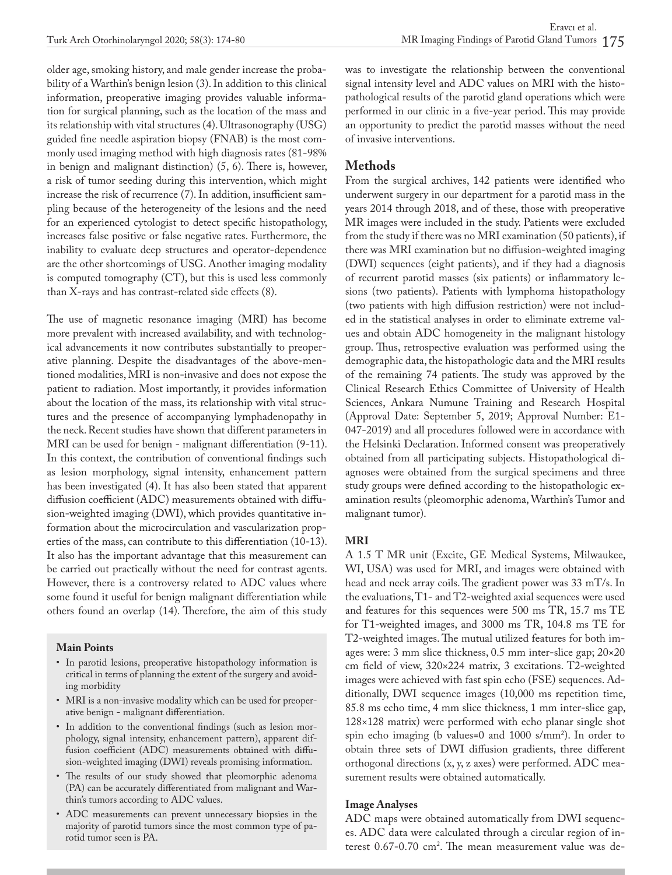older age, smoking history, and male gender increase the probability of a Warthin's benign lesion (3). In addition to this clinical information, preoperative imaging provides valuable information for surgical planning, such as the location of the mass and its relationship with vital structures (4). Ultrasonography (USG) guided fine needle aspiration biopsy (FNAB) is the most commonly used imaging method with high diagnosis rates (81-98% in benign and malignant distinction) (5, 6). There is, however, a risk of tumor seeding during this intervention, which might increase the risk of recurrence (7). In addition, insufficient sampling because of the heterogeneity of the lesions and the need for an experienced cytologist to detect specific histopathology, increases false positive or false negative rates. Furthermore, the inability to evaluate deep structures and operator-dependence are the other shortcomings of USG. Another imaging modality is computed tomography (CT), but this is used less commonly than X-rays and has contrast-related side effects (8).

The use of magnetic resonance imaging (MRI) has become more prevalent with increased availability, and with technological advancements it now contributes substantially to preoperative planning. Despite the disadvantages of the above-mentioned modalities, MRI is non-invasive and does not expose the patient to radiation. Most importantly, it provides information about the location of the mass, its relationship with vital structures and the presence of accompanying lymphadenopathy in the neck. Recent studies have shown that different parameters in MRI can be used for benign - malignant differentiation (9-11). In this context, the contribution of conventional findings such as lesion morphology, signal intensity, enhancement pattern has been investigated (4). It has also been stated that apparent diffusion coefficient (ADC) measurements obtained with diffusion-weighted imaging (DWI), which provides quantitative information about the microcirculation and vascularization properties of the mass, can contribute to this differentiation (10-13). It also has the important advantage that this measurement can be carried out practically without the need for contrast agents. However, there is a controversy related to ADC values where some found it useful for benign malignant differentiation while others found an overlap (14). Therefore, the aim of this study

#### **Main Points**

- In parotid lesions, preoperative histopathology information is critical in terms of planning the extent of the surgery and avoiding morbidity
- MRI is a non-invasive modality which can be used for preoperative benign - malignant differentiation.
- In addition to the conventional findings (such as lesion morphology, signal intensity, enhancement pattern), apparent diffusion coefficient (ADC) measurements obtained with diffusion-weighted imaging (DWI) reveals promising information.
- The results of our study showed that pleomorphic adenoma (PA) can be accurately differentiated from malignant and Warthin's tumors according to ADC values.
- ADC measurements can prevent unnecessary biopsies in the majority of parotid tumors since the most common type of parotid tumor seen is PA.

was to investigate the relationship between the conventional signal intensity level and ADC values on MRI with the histopathological results of the parotid gland operations which were performed in our clinic in a five-year period. This may provide an opportunity to predict the parotid masses without the need of invasive interventions.

#### **Methods**

From the surgical archives, 142 patients were identified who underwent surgery in our department for a parotid mass in the years 2014 through 2018, and of these, those with preoperative MR images were included in the study. Patients were excluded from the study if there was no MRI examination (50 patients), if there was MRI examination but no diffusion-weighted imaging (DWI) sequences (eight patients), and if they had a diagnosis of recurrent parotid masses (six patients) or inflammatory lesions (two patients). Patients with lymphoma histopathology (two patients with high diffusion restriction) were not included in the statistical analyses in order to eliminate extreme values and obtain ADC homogeneity in the malignant histology group. Thus, retrospective evaluation was performed using the demographic data, the histopathologic data and the MRI results of the remaining 74 patients. The study was approved by the Clinical Research Ethics Committee of University of Health Sciences, Ankara Numune Training and Research Hospital (Approval Date: September 5, 2019; Approval Number: E1- 047-2019) and all procedures followed were in accordance with the Helsinki Declaration. Informed consent was preoperatively obtained from all participating subjects. Histopathological diagnoses were obtained from the surgical specimens and three study groups were defined according to the histopathologic examination results (pleomorphic adenoma, Warthin's Tumor and malignant tumor).

#### **MRI**

A 1.5 T MR unit (Excite, GE Medical Systems, Milwaukee, WI, USA) was used for MRI, and images were obtained with head and neck array coils. The gradient power was 33 mT/s. In the evaluations, T1- and T2-weighted axial sequences were used and features for this sequences were 500 ms TR, 15.7 ms TE for T1-weighted images, and 3000 ms TR, 104.8 ms TE for T2-weighted images. The mutual utilized features for both images were: 3 mm slice thickness, 0.5 mm inter-slice gap; 20×20 cm field of view, 320×224 matrix, 3 excitations. T2-weighted images were achieved with fast spin echo (FSE) sequences. Additionally, DWI sequence images (10,000 ms repetition time, 85.8 ms echo time, 4 mm slice thickness, 1 mm inter-slice gap, 128×128 matrix) were performed with echo planar single shot spin echo imaging (b values=0 and 1000 s/mm2 ). In order to obtain three sets of DWI diffusion gradients, three different orthogonal directions (x, y, z axes) were performed. ADC measurement results were obtained automatically.

#### **Image Analyses**

ADC maps were obtained automatically from DWI sequences. ADC data were calculated through a circular region of interest 0.67-0.70 cm<sup>2</sup>. The mean measurement value was de-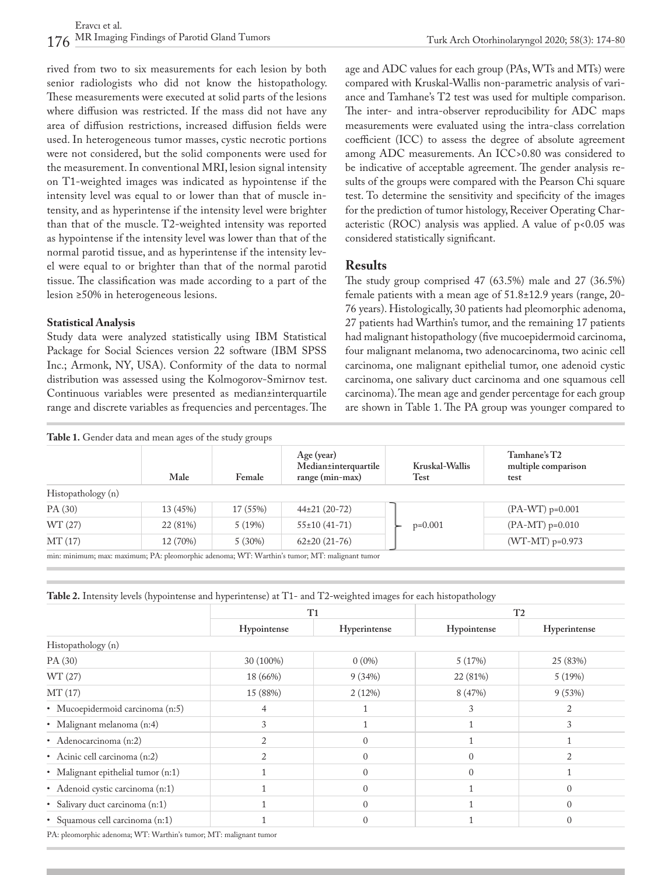Turk Arch Otorhinolaryngol 2020; 58(3): 174-80

rived from two to six measurements for each lesion by both senior radiologists who did not know the histopathology. These measurements were executed at solid parts of the lesions where diffusion was restricted. If the mass did not have any area of diffusion restrictions, increased diffusion fields were used. In heterogeneous tumor masses, cystic necrotic portions were not considered, but the solid components were used for the measurement. In conventional MRI, lesion signal intensity on T1-weighted images was indicated as hypointense if the intensity level was equal to or lower than that of muscle intensity, and as hyperintense if the intensity level were brighter than that of the muscle. T2-weighted intensity was reported as hypointense if the intensity level was lower than that of the normal parotid tissue, and as hyperintense if the intensity level were equal to or brighter than that of the normal parotid tissue. The classification was made according to a part of the lesion ≥50% in heterogeneous lesions.

#### **Statistical Analysis**

Study data were analyzed statistically using IBM Statistical Package for Social Sciences version 22 software (IBM SPSS Inc.; Armonk, NY, USA). Conformity of the data to normal distribution was assessed using the Kolmogorov-Smirnov test. Continuous variables were presented as median±interquartile range and discrete variables as frequencies and percentages. The age and ADC values for each group (PAs, WTs and MTs) were compared with Kruskal-Wallis non-parametric analysis of variance and Tamhane's T2 test was used for multiple comparison. The inter- and intra-observer reproducibility for ADC maps measurements were evaluated using the intra-class correlation coefficient (ICC) to assess the degree of absolute agreement among ADC measurements. An ICC>0.80 was considered to be indicative of acceptable agreement. The gender analysis results of the groups were compared with the Pearson Chi square test. To determine the sensitivity and specificity of the images for the prediction of tumor histology, Receiver Operating Characteristic (ROC) analysis was applied. A value of  $p<0.05$  was considered statistically significant.

#### **Results**

The study group comprised 47 (63.5%) male and 27 (36.5%) female patients with a mean age of 51.8±12.9 years (range, 20- 76 years). Histologically, 30 patients had pleomorphic adenoma, 27 patients had Warthin's tumor, and the remaining 17 patients had malignant histopathology (five mucoepidermoid carcinoma, four malignant melanoma, two adenocarcinoma, two acinic cell carcinoma, one malignant epithelial tumor, one adenoid cystic carcinoma, one salivary duct carcinoma and one squamous cell carcinoma). The mean age and gender percentage for each group are shown in Table 1. The PA group was younger compared to

|                    | Male     | Female   | Age (year)<br>Median±interquartile<br>$range (min-max)$ | Kruskal-Wallis<br>Test | Tamhane's T2<br>multiple comparison<br>test |
|--------------------|----------|----------|---------------------------------------------------------|------------------------|---------------------------------------------|
| Histopathology (n) |          |          |                                                         |                        |                                             |
| PA (30)            | 13 (45%) | 17 (55%) | $44\pm21(20-72)$                                        |                        | $(PA-WT) p=0.001$                           |
| WT (27)            | 22 (81%) | 5(19%)   | $55 \pm 10(41 - 71)$                                    | $p=0.001$              | $(PA-MT)$ p=0.010                           |
| MT(17)             | 12 (70%) | 5(30%)   | $62\pm20(21-76)$                                        |                        | $(WT-MT)$ p=0.973                           |

min: minimum; max: maximum; PA: pleomorphic adenoma; WT: Warthin's tumor; MT: malignant tumor

| Table 2. Intensity levels (hypointense and hyperintense) at T1- and T2-weighted images for each histopathology |  |  |  |  |  |  |
|----------------------------------------------------------------------------------------------------------------|--|--|--|--|--|--|
|----------------------------------------------------------------------------------------------------------------|--|--|--|--|--|--|

|                                    | T1          |              | T <sub>2</sub> |              |  |
|------------------------------------|-------------|--------------|----------------|--------------|--|
|                                    | Hypointense | Hyperintense | Hypointense    | Hyperintense |  |
| Histopathology (n)                 |             |              |                |              |  |
| PA (30)                            | 30 (100%)   | $0(0\%)$     | 5(17%)         | 25 (83%)     |  |
| WT (27)                            | 18 (66%)    | 9(34%)       | 22 (81%)       | 5(19%)       |  |
| MT(17)                             | 15 (88%)    | 2(12%)       | 8 (47%)        | 9(53%)       |  |
| • Mucoepidermoid carcinoma (n:5)   | 4           |              | 3              |              |  |
| · Malignant melanoma (n:4)         | 3           |              |                | 3            |  |
| • Adenocarcinoma (n:2)             |             | $\Omega$     |                |              |  |
| • Acinic cell carcinoma (n:2)      | 2           | $\Omega$     |                |              |  |
| • Malignant epithelial tumor (n:1) |             | $\Omega$     |                |              |  |
| • Adenoid cystic carcinoma (n:1)   |             | $\Omega$     |                | $\Omega$     |  |
| · Salivary duct carcinoma (n:1)    |             | $\Omega$     |                | $\Omega$     |  |
| · Squamous cell carcinoma (n:1)    |             |              |                | $\theta$     |  |

PA: pleomorphic adenoma; WT: Warthin's tumor; MT: malignant tumor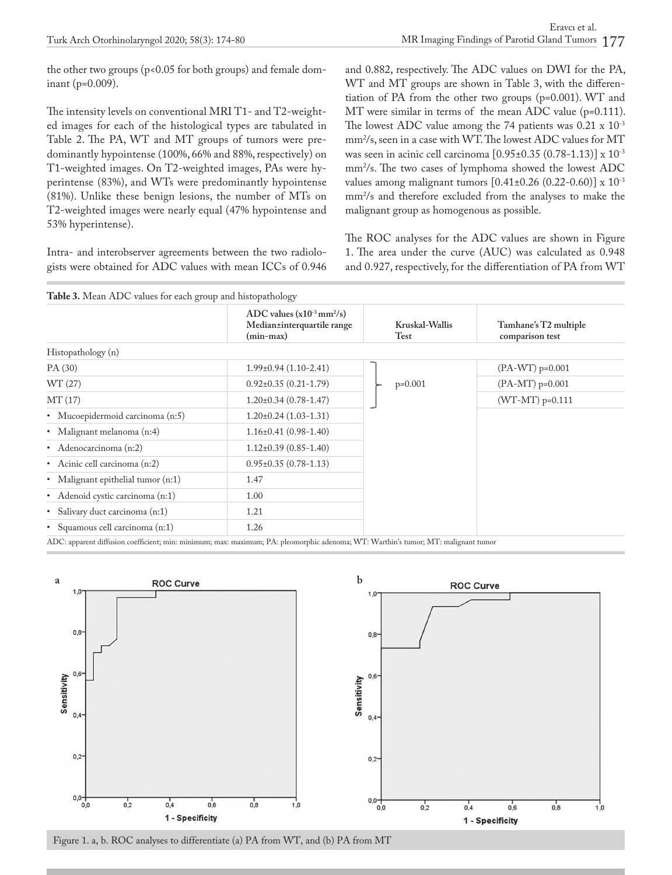the other two groups (p<0.05 for both groups) and female dominant (p=0.009).

The intensity levels on conventional MRI T1- and T2-weighted images for each of the histological types are tabulated in Table 2. The PA, WT and MT groups of tumors were predominantly hypointense (100%, 66% and 88%, respectively) on T1-weighted images. On T2-weighted images, PAs were hyperintense (83%), and WTs were predominantly hypointense (81%). Unlike these benign lesions, the number of MTs on T2-weighted images were nearly equal (47% hypointense and 53% hyperintense).

Intra- and interobserver agreements between the two radiologists were obtained for ADC values with mean ICCs of 0.946 and 0.882, respectively. The ADC values on DWI for the PA, WT and MT groups are shown in Table 3, with the differentiation of PA from the other two groups (p=0.001). WT and MT were similar in terms of the mean ADC value (p=0.111). The lowest ADC value among the 74 patients was  $0.21 \times 10^{-3}$ mm<sup>2</sup>/s, seen in a case with WT. The lowest ADC values for MT was seen in acinic cell carcinoma [0.95±0.35 (0.78-1.13)] x 10-3 mm<sup>2</sup>/s. The two cases of lymphoma showed the lowest ADC values among malignant tumors  $[0.41 \pm 0.26 (0.22 - 0.60)] \times 10^{-3}$ mm<sup>2</sup>/s and therefore excluded from the analyses to make the malignant group as homogenous as possible.

The ROC analyses for the ADC values are shown in Figure 1. The area under the curve (AUC) was calculated as 0.948 and 0.927, respectively, for the differentiation of PA from WT





Figure 1. a, b. ROC analyses to differentiate (a) PA from WT, and (b) PA from MT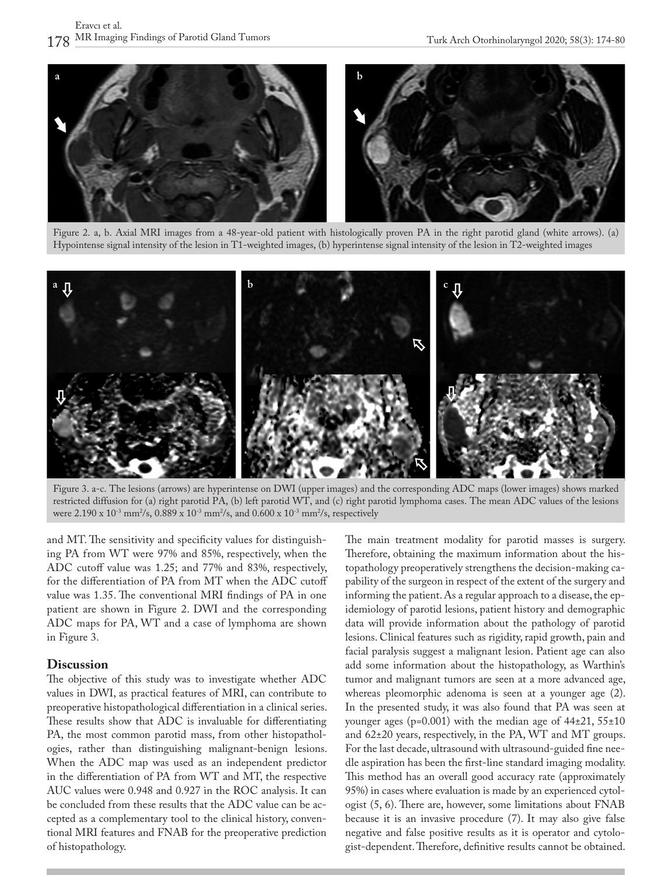

Figure 2. a, b. Axial MRI images from a 48-year-old patient with histologically proven PA in the right parotid gland (white arrows). (a) Hypointense signal intensity of the lesion in T1-weighted images, (b) hyperintense signal intensity of the lesion in T2-weighted images



Figure 3. a-c. The lesions (arrows) are hyperintense on DWI (upper images) and the corresponding ADC maps (lower images) shows marked restricted diffusion for (a) right parotid PA, (b) left parotid WT, and (c) right parotid lymphoma cases. The mean ADC values of the lesions were 2.190 x  $10^{-3}$  mm $^2$ /s, 0.889 x  $10^{-3}$  mm $^2$ /s, and 0.600 x  $10^{-3}$  mm $^2$ /s, respectively

and MT. The sensitivity and specificity values for distinguishing PA from WT were 97% and 85%, respectively, when the ADC cutoff value was 1.25; and 77% and 83%, respectively, for the differentiation of PA from MT when the ADC cutoff value was 1.35. The conventional MRI findings of PA in one patient are shown in Figure 2. DWI and the corresponding ADC maps for PA, WT and a case of lymphoma are shown in Figure 3.

#### **Discussion**

The objective of this study was to investigate whether ADC values in DWI, as practical features of MRI, can contribute to preoperative histopathological differentiation in a clinical series. These results show that ADC is invaluable for differentiating PA, the most common parotid mass, from other histopathologies, rather than distinguishing malignant-benign lesions. When the ADC map was used as an independent predictor in the differentiation of PA from WT and MT, the respective AUC values were 0.948 and 0.927 in the ROC analysis. It can be concluded from these results that the ADC value can be accepted as a complementary tool to the clinical history, conventional MRI features and FNAB for the preoperative prediction of histopathology.

The main treatment modality for parotid masses is surgery. Therefore, obtaining the maximum information about the histopathology preoperatively strengthens the decision-making capability of the surgeon in respect of the extent of the surgery and informing the patient. As a regular approach to a disease, the epidemiology of parotid lesions, patient history and demographic data will provide information about the pathology of parotid lesions. Clinical features such as rigidity, rapid growth, pain and facial paralysis suggest a malignant lesion. Patient age can also add some information about the histopathology, as Warthin's tumor and malignant tumors are seen at a more advanced age, whereas pleomorphic adenoma is seen at a younger age (2). In the presented study, it was also found that PA was seen at younger ages ( $p=0.001$ ) with the median age of  $44\pm21, 55\pm10$ and 62±20 years, respectively, in the PA, WT and MT groups. For the last decade, ultrasound with ultrasound-guided fine needle aspiration has been the first-line standard imaging modality. This method has an overall good accuracy rate (approximately 95%) in cases where evaluation is made by an experienced cytologist (5, 6). There are, however, some limitations about FNAB because it is an invasive procedure (7). It may also give false negative and false positive results as it is operator and cytologist-dependent. Therefore, definitive results cannot be obtained.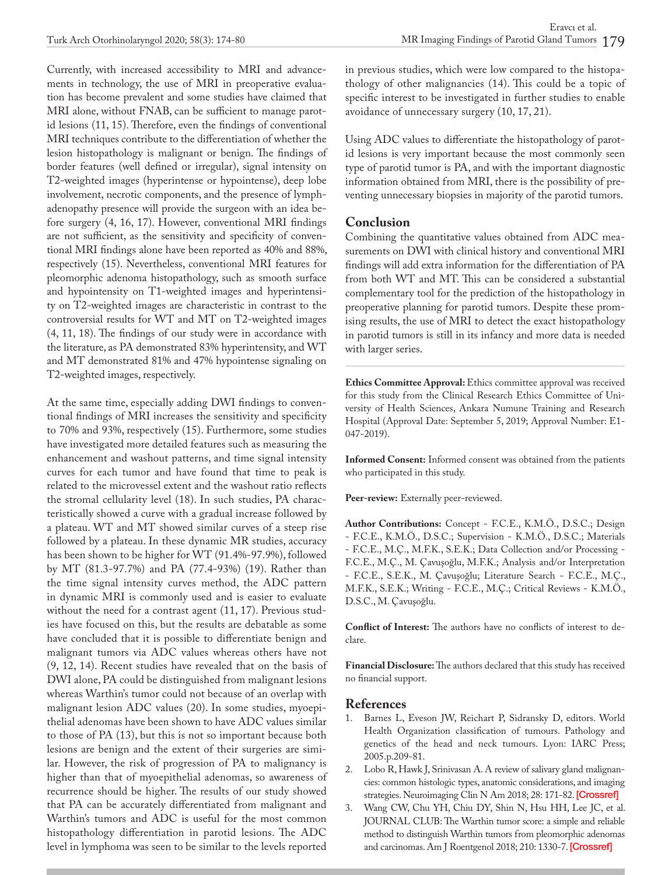Currently, with increased accessibility to MRI and advancements in technology, the use of MRI in preoperative evaluation has become prevalent and some studies have claimed that MRI alone, without FNAB, can be sufficient to manage parotid lesions (11, 15). Therefore, even the findings of conventional MRI techniques contribute to the differentiation of whether the lesion histopathology is malignant or benign. The findings of border features (well defined or irregular), signal intensity on T2-weighted images (hyperintense or hypointense), deep lobe involvement, necrotic components, and the presence of lymphadenopathy presence will provide the surgeon with an idea before surgery (4, 16, 17). However, conventional MRI findings are not sufficient, as the sensitivity and specificity of conventional MRI findings alone have been reported as 40% and 88%, respectively (15). Nevertheless, conventional MRI features for pleomorphic adenoma histopathology, such as smooth surface and hypointensity on T1-weighted images and hyperintensity on T2-weighted images are characteristic in contrast to the controversial results for WT and MT on T2-weighted images (4, 11, 18). The findings of our study were in accordance with the literature, as PA demonstrated 83% hyperintensity, and WT and MT demonstrated 81% and 47% hypointense signaling on T2-weighted images, respectively.

At the same time, especially adding DWI findings to conventional findings of MRI increases the sensitivity and specificity to 70% and 93%, respectively (15). Furthermore, some studies have investigated more detailed features such as measuring the enhancement and washout patterns, and time signal intensity curves for each tumor and have found that time to peak is related to the microvessel extent and the washout ratio reflects the stromal cellularity level (18). In such studies, PA characteristically showed a curve with a gradual increase followed by a plateau. WT and MT showed similar curves of a steep rise followed by a plateau. In these dynamic MR studies, accuracy has been shown to be higher for WT (91.4%-97.9%), followed by MT (81.3-97.7%) and PA (77.4-93%) (19). Rather than the time signal intensity curves method, the ADC pattern in dynamic MRI is commonly used and is easier to evaluate without the need for a contrast agent (11, 17). Previous studies have focused on this, but the results are debatable as some have concluded that it is possible to differentiate benign and malignant tumors via ADC values whereas others have not (9, 12, 14). Recent studies have revealed that on the basis of DWI alone, PA could be distinguished from malignant lesions whereas Warthin's tumor could not because of an overlap with malignant lesion ADC values (20). In some studies, myoepithelial adenomas have been shown to have ADC values similar to those of PA (13), but this is not so important because both lesions are benign and the extent of their surgeries are similar. However, the risk of progression of PA to malignancy is higher than that of myoepithelial adenomas, so awareness of recurrence should be higher. The results of our study showed that PA can be accurately differentiated from malignant and Warthin's tumors and ADC is useful for the most common histopathology differentiation in parotid lesions. The ADC level in lymphoma was seen to be similar to the levels reported

in previous studies, which were low compared to the histopathology of other malignancies (14). This could be a topic of specific interest to be investigated in further studies to enable avoidance of unnecessary surgery (10, 17, 21).

Using ADC values to differentiate the histopathology of parotid lesions is very important because the most commonly seen type of parotid tumor is PA, and with the important diagnostic information obtained from MRI, there is the possibility of preventing unnecessary biopsies in majority of the parotid tumors.

#### **Conclusion**

Combining the quantitative values obtained from ADC measurements on DWI with clinical history and conventional MRI findings will add extra information for the differentiation of PA from both WT and MT. This can be considered a substantial complementary tool for the prediction of the histopathology in preoperative planning for parotid tumors. Despite these promising results, the use of MRI to detect the exact histopathology in parotid tumors is still in its infancy and more data is needed with larger series.

**Ethics Committee Approval:** Ethics committee approval was received for this study from the Clinical Research Ethics Committee of University of Health Sciences, Ankara Numune Training and Research Hospital (Approval Date: September 5, 2019; Approval Number: E1- 047-2019).

**Informed Consent:** Informed consent was obtained from the patients who participated in this study.

**Peer-review:** Externally peer-reviewed.

**Author Contributions:** Concept - F.C.E., K.M.Ö., D.S.C.; Design - F.C.E., K.M.Ö., D.S.C.; Supervision - K.M.Ö., D.S.C.; Materials - F.C.E., M.Ç., M.F.K., S.E.K.; Data Collection and/or Processing - F.C.E., M.Ç., M. Çavuşoğlu, M.F.K.; Analysis and/or Interpretation - F.C.E., S.E.K., M. Çavuşoğlu; Literature Search - F.C.E., M.Ç., M.F.K., S.E.K.; Writing - F.C.E., M.Ç.; Critical Reviews - K.M.Ö., D.S.C., M. Çavuşoğlu.

**Conflict of Interest:** The authors have no conflicts of interest to declare.

**Financial Disclosure:** The authors declared that this study has received no financial support.

#### **References**

- 1. Barnes L, Eveson JW, Reichart P, Sidransky D, editors. World Health Organization classification of tumours. Pathology and genetics of the head and neck tumours. Lyon: IARC Press; 2005.p.209-81.
- 2. Lobo R, Hawk J, Srinivasan A. A review of salivary gland malignancies: common histologic types, anatomic considerations, and imaging strategies. Neuroimaging Clin N Am 2018; 28: 171-82. [\[Crossref\]](https://doi.org/10.1016/j.nic.2018.01.011)
- 3. Wang CW, Chu YH, Chiu DY, Shin N, Hsu HH, Lee JC, et al. JOURNAL CLUB: The Warthin tumor score: a simple and reliable method to distinguish Warthin tumors from pleomorphic adenomas and carcinomas. Am J Roentgenol 2018; 210: 1330-7. [\[Crossref\]](https://doi.org/10.2214/AJR.17.18492)